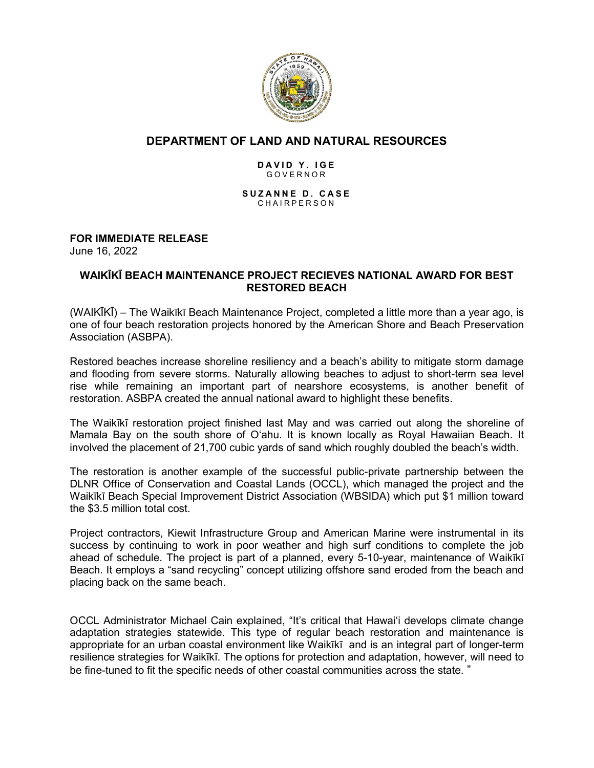

# **DEPARTMENT OF LAND AND NATURAL RESOURCES**

#### **D A V I D Y . I G E** G O V E R N O R

**S U Z A N N E D . C A S E** CHAIRPERSON

# **FOR IMMEDIATE RELEASE**

June 16, 2022

## **WAIKĪKĪ BEACH MAINTENANCE PROJECT RECIEVES NATIONAL AWARD FOR BEST RESTORED BEACH**

(WAIKĪKĪ) – The Waikīkī Beach Maintenance Project, completed a little more than a year ago, is one of four beach restoration projects honored by the American Shore and Beach Preservation Association (ASBPA).

Restored beaches increase shoreline resiliency and a beach's ability to mitigate storm damage and flooding from severe storms. Naturally allowing beaches to adjust to short-term sea level rise while remaining an important part of nearshore ecosystems, is another benefit of restoration. ASBPA created the annual national award to highlight these benefits.

The Waikīkī restoration project finished last May and was carried out along the shoreline of Mamala Bay on the south shore of O'ahu. It is known locally as Royal Hawaiian Beach. It involved the placement of 21,700 cubic yards of sand which roughly doubled the beach's width.

The restoration is another example of the successful public-private partnership between the DLNR Office of Conservation and Coastal Lands (OCCL), which managed the project and the Waikīkī Beach Special Improvement District Association (WBSIDA) which put \$1 million toward the \$3.5 million total cost.

Project contractors, Kiewit Infrastructure Group and American Marine were instrumental in its success by continuing to work in poor weather and high surf conditions to complete the job ahead of schedule. The project is part of a planned, every 5-10-year, maintenance of Waikīkī Beach. It employs a "sand recycling" concept utilizing offshore sand eroded from the beach and placing back on the same beach.

OCCL Administrator Michael Cain explained, "It's critical that Hawai'i develops climate change adaptation strategies statewide. This type of regular beach restoration and maintenance is appropriate for an urban coastal environment like Waikīkī and is an integral part of longer-term resilience strategies for Waikīkī. The options for protection and adaptation, however, will need to be fine-tuned to fit the specific needs of other coastal communities across the state. "